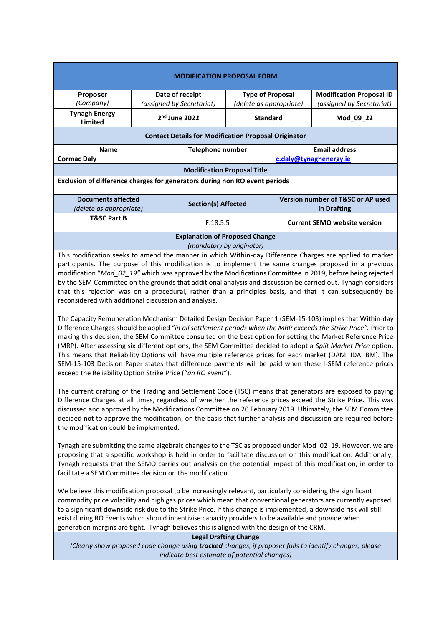| <b>Proposer</b><br>Date of receipt<br><b>Type of Proposal</b><br><b>Modification Proposal ID</b><br>(Company)<br>(assigned by Secretariat)<br>(delete as appropriate)<br>(assigned by Secretariat)<br><b>Tynagh Energy</b><br>2 <sup>nd</sup> June 2022<br><b>Standard</b><br>Mod_09_22<br>Limited<br><b>Contact Details for Modification Proposal Originator</b><br><b>Email address</b><br><b>Name</b><br><b>Telephone number</b><br><b>Cormac Daly</b><br>c.daly@tynaghenergy.ie<br><b>Modification Proposal Title</b><br>Exclusion of difference charges for generators during non RO event periods<br><b>Documents affected</b><br>Version number of T&SC or AP used<br><b>Section(s) Affected</b><br>(delete as appropriate)<br>in Drafting<br><b>T&amp;SC Part B</b><br><b>Current SEMO website version</b><br>F.18.5.5<br><b>Explanation of Proposed Change</b><br>(mandatory by originator)<br>This modification seeks to amend the manner in which Within-day Difference Charges are applied to market<br>participants. The purpose of this modification is to implement the same changes proposed in a previous<br>modification "Mod_02_19" which was approved by the Modifications Committee in 2019, before being rejected<br>by the SEM Committee on the grounds that additional analysis and discussion be carried out. Tynagh considers<br>that this rejection was on a procedural, rather than a principles basis, and that it can subsequently be | <b>MODIFICATION PROPOSAL FORM</b> |  |  |  |  |  |  |
|---------------------------------------------------------------------------------------------------------------------------------------------------------------------------------------------------------------------------------------------------------------------------------------------------------------------------------------------------------------------------------------------------------------------------------------------------------------------------------------------------------------------------------------------------------------------------------------------------------------------------------------------------------------------------------------------------------------------------------------------------------------------------------------------------------------------------------------------------------------------------------------------------------------------------------------------------------------------------------------------------------------------------------------------------------------------------------------------------------------------------------------------------------------------------------------------------------------------------------------------------------------------------------------------------------------------------------------------------------------------------------------------------------------------------------------------------------------------|-----------------------------------|--|--|--|--|--|--|
|                                                                                                                                                                                                                                                                                                                                                                                                                                                                                                                                                                                                                                                                                                                                                                                                                                                                                                                                                                                                                                                                                                                                                                                                                                                                                                                                                                                                                                                                     |                                   |  |  |  |  |  |  |
|                                                                                                                                                                                                                                                                                                                                                                                                                                                                                                                                                                                                                                                                                                                                                                                                                                                                                                                                                                                                                                                                                                                                                                                                                                                                                                                                                                                                                                                                     |                                   |  |  |  |  |  |  |
|                                                                                                                                                                                                                                                                                                                                                                                                                                                                                                                                                                                                                                                                                                                                                                                                                                                                                                                                                                                                                                                                                                                                                                                                                                                                                                                                                                                                                                                                     |                                   |  |  |  |  |  |  |
|                                                                                                                                                                                                                                                                                                                                                                                                                                                                                                                                                                                                                                                                                                                                                                                                                                                                                                                                                                                                                                                                                                                                                                                                                                                                                                                                                                                                                                                                     |                                   |  |  |  |  |  |  |
|                                                                                                                                                                                                                                                                                                                                                                                                                                                                                                                                                                                                                                                                                                                                                                                                                                                                                                                                                                                                                                                                                                                                                                                                                                                                                                                                                                                                                                                                     |                                   |  |  |  |  |  |  |
|                                                                                                                                                                                                                                                                                                                                                                                                                                                                                                                                                                                                                                                                                                                                                                                                                                                                                                                                                                                                                                                                                                                                                                                                                                                                                                                                                                                                                                                                     |                                   |  |  |  |  |  |  |
|                                                                                                                                                                                                                                                                                                                                                                                                                                                                                                                                                                                                                                                                                                                                                                                                                                                                                                                                                                                                                                                                                                                                                                                                                                                                                                                                                                                                                                                                     |                                   |  |  |  |  |  |  |
|                                                                                                                                                                                                                                                                                                                                                                                                                                                                                                                                                                                                                                                                                                                                                                                                                                                                                                                                                                                                                                                                                                                                                                                                                                                                                                                                                                                                                                                                     |                                   |  |  |  |  |  |  |
|                                                                                                                                                                                                                                                                                                                                                                                                                                                                                                                                                                                                                                                                                                                                                                                                                                                                                                                                                                                                                                                                                                                                                                                                                                                                                                                                                                                                                                                                     |                                   |  |  |  |  |  |  |
|                                                                                                                                                                                                                                                                                                                                                                                                                                                                                                                                                                                                                                                                                                                                                                                                                                                                                                                                                                                                                                                                                                                                                                                                                                                                                                                                                                                                                                                                     |                                   |  |  |  |  |  |  |
|                                                                                                                                                                                                                                                                                                                                                                                                                                                                                                                                                                                                                                                                                                                                                                                                                                                                                                                                                                                                                                                                                                                                                                                                                                                                                                                                                                                                                                                                     |                                   |  |  |  |  |  |  |
|                                                                                                                                                                                                                                                                                                                                                                                                                                                                                                                                                                                                                                                                                                                                                                                                                                                                                                                                                                                                                                                                                                                                                                                                                                                                                                                                                                                                                                                                     |                                   |  |  |  |  |  |  |
| reconsidered with additional discussion and analysis.<br>The Capacity Remuneration Mechanism Detailed Design Decision Paper 1 (SEM-15-103) implies that Within-day<br>Difference Charges should be applied "in all settlement periods when the MRP exceeds the Strike Price". Prior to                                                                                                                                                                                                                                                                                                                                                                                                                                                                                                                                                                                                                                                                                                                                                                                                                                                                                                                                                                                                                                                                                                                                                                              |                                   |  |  |  |  |  |  |

making this decision, the SEM Committee consulted on the best option for setting the Market Reference Price (MRP). After assessing six different options, the SEM Committee decided to adopt a *Split Market Price* option. This means that Reliability Options will have multiple reference prices for each market (DAM, IDA, BM). The SEM-15-103 Decision Paper states that difference payments will be paid when these I-SEM reference prices exceed the Reliability Option Strike Price ("*an RO event*").

The current drafting of the Trading and Settlement Code (TSC) means that generators are exposed to paying Difference Charges at all times, regardless of whether the reference prices exceed the Strike Price. This was discussed and approved by the Modifications Committee on 20 February 2019. Ultimately, the SEM Committee decided not to approve the modification, on the basis that further analysis and discussion are required before the modification could be implemented.

Tynagh are submitting the same algebraic changes to the TSC as proposed under Mod\_02\_19. However, we are proposing that a specific workshop is held in order to facilitate discussion on this modification. Additionally, Tynagh requests that the SEMO carries out analysis on the potential impact of this modification, in order to facilitate a SEM Committee decision on the modification.

We believe this modification proposal to be increasingly relevant, particularly considering the significant commodity price volatility and high gas prices which mean that conventional generators are currently exposed to a significant downside risk due to the Strike Price. If this change is implemented, a downside risk will still exist during RO Events which should incentivise capacity providers to be available and provide when generation margins are tight. Tynagh believes this is aligned with the design of the CRM.

## **Legal Drafting Change**

*(Clearly show proposed code change using tracked changes, if proposer fails to identify changes, please indicate best estimate of potential changes)*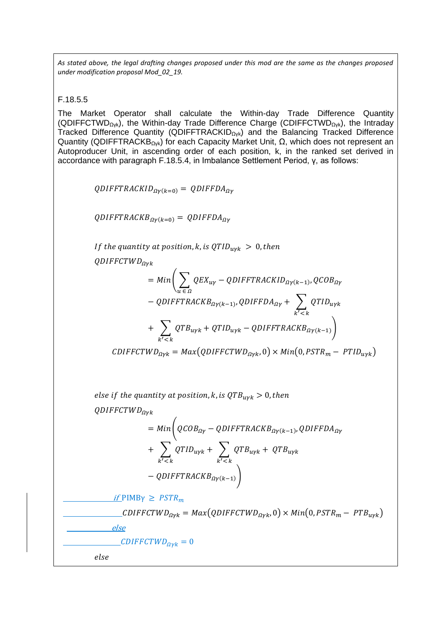*As stated above, the legal drafting changes proposed under this mod are the same as the changes proposed under modification proposal Mod\_02\_19.* 

F.18.5.5

The Market Operator shall calculate the Within-day Trade Difference Quantity (QDIFFCTWDΩγk), the Within-day Trade Difference Charge (CDIFFCTWDΩγk), the Intraday Tracked Difference Quantity (QDIFFTRACKIDΩγk) and the Balancing Tracked Difference Quantity (QDIFFTRACKBΩγk) for each Capacity Market Unit, Ω, which does not represent an Autoproducer Unit, in ascending order of each position, k, in the ranked set derived in accordance with paragraph F.18.5.4, in Imbalance Settlement Period, γ, as follows:

 $QDIFFTRACKID_{\Omega V(k=0)} = QDIFFDA_{\Omega V}$ 

 $QDIFFTRACKB_{\Omega Y(k=0)} = QDIFFDA_{\Omega Y}$ 

If the quantity at position, k, is  $QTID_{uvk} > 0$ , then

 $ODIFFCTWD_{Q\nu k}$ 

$$
= Min \left( \sum_{u \in \Omega} QEX_{uy} - QDIFFIRACKID_{\Omega\gamma(k-1)}, QCOB_{\Omega\gamma} \right)
$$

$$
- QDIFFIRACKB_{\Omega\gamma(k-1)}, QDIFFDA_{\Omega\gamma} + \sum_{k' < k} QTID_{u\gamma k}
$$

$$
+ \sum_{k' < k} QTB_{u\gamma k} + QTID_{u\gamma k} - QDIFFTRACKB_{\Omega\gamma(k-1)})
$$

 $CDIFFCTWD_{\Omega\gamma k} = Max(QDIFFCTWD_{\Omega\gamma k}, 0) \times Min(0, PSTR_m - PTID_{\nu\gamma k})$ 

else if the quantity at position, k, is  $QTB_{\text{uvk}} > 0$ , then

 $QDIFFCTWD_{O\nu k}$ 

$$
= Min \left( QCOB_{\Omega Y} - QDIFFIRACKB_{\Omega Y(k-1)}, QDIFFDA_{\Omega Y} + \sum_{k' < k} QTID_{uYk} + QTB_{uYk} + QTB_{uYk} - QDIFFRACKB_{\Omega Y(k-1)} \right)
$$

 $if$  PIMB $\gamma \geq PSTR_m$ 

CDIFFCTWD<sub>QVk</sub> = Max(QDIFFCTWD<sub>QVk</sub>, 0) × Min(0, PSTR<sub>m</sub> – PTB<sub>uVk</sub>)

 $\frac{CDIFFCTWD_{Qvk}}{2} = 0$ 

else

else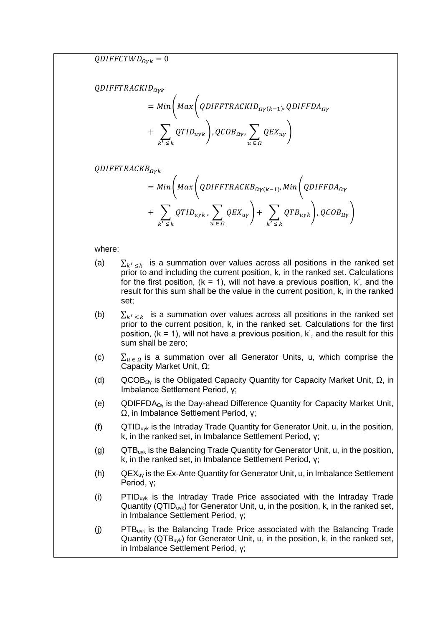$QDIFFCTWD_{\Omega vk}=0$ 

 $ODIFTRACKID_{O\nu k}$ 

$$
= Min \left( Max \left( QDIFFRACKID_{\Omega\gamma(k-1)}, QDIFFDA_{\Omega\gamma} \right) + \sum_{k' \leq k} QTID_{\Omega\gamma k} \right), QCOB_{\Omega\gamma}, \sum_{u \in \Omega} QEX_{u\gamma} \right)
$$

 $ODIFFTRACKB_{O\nu k}$ 

$$
= Min \left( Max \left( QDIFFRACKB_{\Omega Y(k-1)}, Min \left( QDIFFDA_{\Omega Y} \right) + \sum_{k' \le k} QTID_{u\gamma k}, \sum_{u \in \Omega} QEX_{u\gamma} \right) + \sum_{k' \le k} QTB_{u\gamma k} \right), QCOB_{\Omega \gamma} \right)
$$

where:

- (a)  $\sum_{k' \leq k}$  is a summation over values across all positions in the ranked set prior to and including the current position, k, in the ranked set. Calculations for the first position,  $(k = 1)$ , will not have a previous position,  $k'$ , and the result for this sum shall be the value in the current position, k, in the ranked set;
- (b)  $\sum_{k' < k}$  is a summation over values across all positions in the ranked set prior to the current position, k, in the ranked set. Calculations for the first position,  $(k = 1)$ , will not have a previous position,  $k'$ , and the result for this sum shall be zero;
- (c)  $\sum_{u \in \Omega}$  is a summation over all Generator Units, u, which comprise the Capacity Market Unit, Ω;
- (d) QCOB<sub>Ωγ</sub> is the Obligated Capacity Quantity for Capacity Market Unit,  $\Omega$ , in Imbalance Settlement Period, γ;
- (e) QDIFFDA $_{\text{OV}}$  is the Day-ahead Difference Quantity for Capacity Market Unit, Ω, in Imbalance Settlement Period, γ;
- (f)  $QTID_{uvk}$  is the Intraday Trade Quantity for Generator Unit, u, in the position, k, in the ranked set, in Imbalance Settlement Period, γ;
- (g)  $QTB_{uvk}$  is the Balancing Trade Quantity for Generator Unit, u, in the position, k, in the ranked set, in Imbalance Settlement Period, γ;
- (h) QEXuγ is the Ex-Ante Quantity for Generator Unit, u, in Imbalance Settlement Period, γ;
- (i) PTIDuγk is the Intraday Trade Price associated with the Intraday Trade Quantity (QTID<sub>uvk</sub>) for Generator Unit, u, in the position, k, in the ranked set, in Imbalance Settlement Period, γ;
- (j) PTB $_{uvk}$  is the Balancing Trade Price associated with the Balancing Trade Quantity (QTB<sub>uyk</sub>) for Generator Unit, u, in the position, k, in the ranked set, in Imbalance Settlement Period, γ;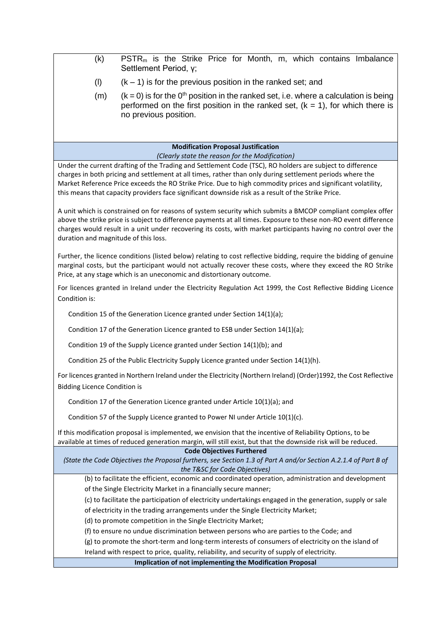| (k)                                                                                                                                                                                                                                                                                                                                                                                                                                                                                             | PSTR <sub>m</sub> is the Strike Price for Month, m, which contains Imbalance<br>Settlement Period, y;                                                                                                            |  |  |  |
|-------------------------------------------------------------------------------------------------------------------------------------------------------------------------------------------------------------------------------------------------------------------------------------------------------------------------------------------------------------------------------------------------------------------------------------------------------------------------------------------------|------------------------------------------------------------------------------------------------------------------------------------------------------------------------------------------------------------------|--|--|--|
| (1)                                                                                                                                                                                                                                                                                                                                                                                                                                                                                             | $(k - 1)$ is for the previous position in the ranked set; and                                                                                                                                                    |  |  |  |
| (m)                                                                                                                                                                                                                                                                                                                                                                                                                                                                                             | $(k = 0)$ is for the 0 <sup>th</sup> position in the ranked set, i.e. where a calculation is being<br>performed on the first position in the ranked set, $(k = 1)$ , for which there is<br>no previous position. |  |  |  |
|                                                                                                                                                                                                                                                                                                                                                                                                                                                                                                 | <b>Modification Proposal Justification</b>                                                                                                                                                                       |  |  |  |
| (Clearly state the reason for the Modification)<br>Under the current drafting of the Trading and Settlement Code (TSC), RO holders are subject to difference<br>charges in both pricing and settlement at all times, rather than only during settlement periods where the<br>Market Reference Price exceeds the RO Strike Price. Due to high commodity prices and significant volatility,<br>this means that capacity providers face significant downside risk as a result of the Strike Price. |                                                                                                                                                                                                                  |  |  |  |
| A unit which is constrained on for reasons of system security which submits a BMCOP compliant complex offer<br>above the strike price is subject to difference payments at all times. Exposure to these non-RO event difference<br>charges would result in a unit under recovering its costs, with market participants having no control over the<br>duration and magnitude of this loss.                                                                                                       |                                                                                                                                                                                                                  |  |  |  |
| Further, the licence conditions (listed below) relating to cost reflective bidding, require the bidding of genuine<br>marginal costs, but the participant would not actually recover these costs, where they exceed the RO Strike<br>Price, at any stage which is an uneconomic and distortionary outcome.                                                                                                                                                                                      |                                                                                                                                                                                                                  |  |  |  |
| For licences granted in Ireland under the Electricity Regulation Act 1999, the Cost Reflective Bidding Licence<br>Condition is:                                                                                                                                                                                                                                                                                                                                                                 |                                                                                                                                                                                                                  |  |  |  |
| Condition 15 of the Generation Licence granted under Section 14(1)(a);                                                                                                                                                                                                                                                                                                                                                                                                                          |                                                                                                                                                                                                                  |  |  |  |
| Condition 17 of the Generation Licence granted to ESB under Section 14(1)(a);                                                                                                                                                                                                                                                                                                                                                                                                                   |                                                                                                                                                                                                                  |  |  |  |
| Condition 19 of the Supply Licence granted under Section 14(1)(b); and                                                                                                                                                                                                                                                                                                                                                                                                                          |                                                                                                                                                                                                                  |  |  |  |
|                                                                                                                                                                                                                                                                                                                                                                                                                                                                                                 | Condition 25 of the Public Electricity Supply Licence granted under Section 14(1)(h).                                                                                                                            |  |  |  |
| For licences granted in Northern Ireland under the Electricity (Northern Ireland) (Order)1992, the Cost Reflective<br><b>Bidding Licence Condition is</b>                                                                                                                                                                                                                                                                                                                                       |                                                                                                                                                                                                                  |  |  |  |
| Condition 17 of the Generation Licence granted under Article 10(1)(a); and                                                                                                                                                                                                                                                                                                                                                                                                                      |                                                                                                                                                                                                                  |  |  |  |
| Condition 57 of the Supply Licence granted to Power NI under Article 10(1)(c).                                                                                                                                                                                                                                                                                                                                                                                                                  |                                                                                                                                                                                                                  |  |  |  |
| If this modification proposal is implemented, we envision that the incentive of Reliability Options, to be<br>available at times of reduced generation margin, will still exist, but that the downside risk will be reduced.                                                                                                                                                                                                                                                                    |                                                                                                                                                                                                                  |  |  |  |
| <b>Code Objectives Furthered</b><br>(State the Code Objectives the Proposal furthers, see Section 1.3 of Part A and/or Section A.2.1.4 of Part B of<br>the T&SC for Code Objectives)                                                                                                                                                                                                                                                                                                            |                                                                                                                                                                                                                  |  |  |  |
|                                                                                                                                                                                                                                                                                                                                                                                                                                                                                                 | (b) to facilitate the efficient, economic and coordinated operation, administration and development                                                                                                              |  |  |  |
| of the Single Electricity Market in a financially secure manner;                                                                                                                                                                                                                                                                                                                                                                                                                                |                                                                                                                                                                                                                  |  |  |  |
| (c) to facilitate the participation of electricity undertakings engaged in the generation, supply or sale<br>of electricity in the trading arrangements under the Single Electricity Market;                                                                                                                                                                                                                                                                                                    |                                                                                                                                                                                                                  |  |  |  |
| (d) to promote competition in the Single Electricity Market;                                                                                                                                                                                                                                                                                                                                                                                                                                    |                                                                                                                                                                                                                  |  |  |  |
| (f) to ensure no undue discrimination between persons who are parties to the Code; and                                                                                                                                                                                                                                                                                                                                                                                                          |                                                                                                                                                                                                                  |  |  |  |
| (g) to promote the short-term and long-term interests of consumers of electricity on the island of                                                                                                                                                                                                                                                                                                                                                                                              |                                                                                                                                                                                                                  |  |  |  |
| Ireland with respect to price, quality, reliability, and security of supply of electricity.                                                                                                                                                                                                                                                                                                                                                                                                     |                                                                                                                                                                                                                  |  |  |  |
|                                                                                                                                                                                                                                                                                                                                                                                                                                                                                                 | Implication of not implementing the Modification Proposal                                                                                                                                                        |  |  |  |